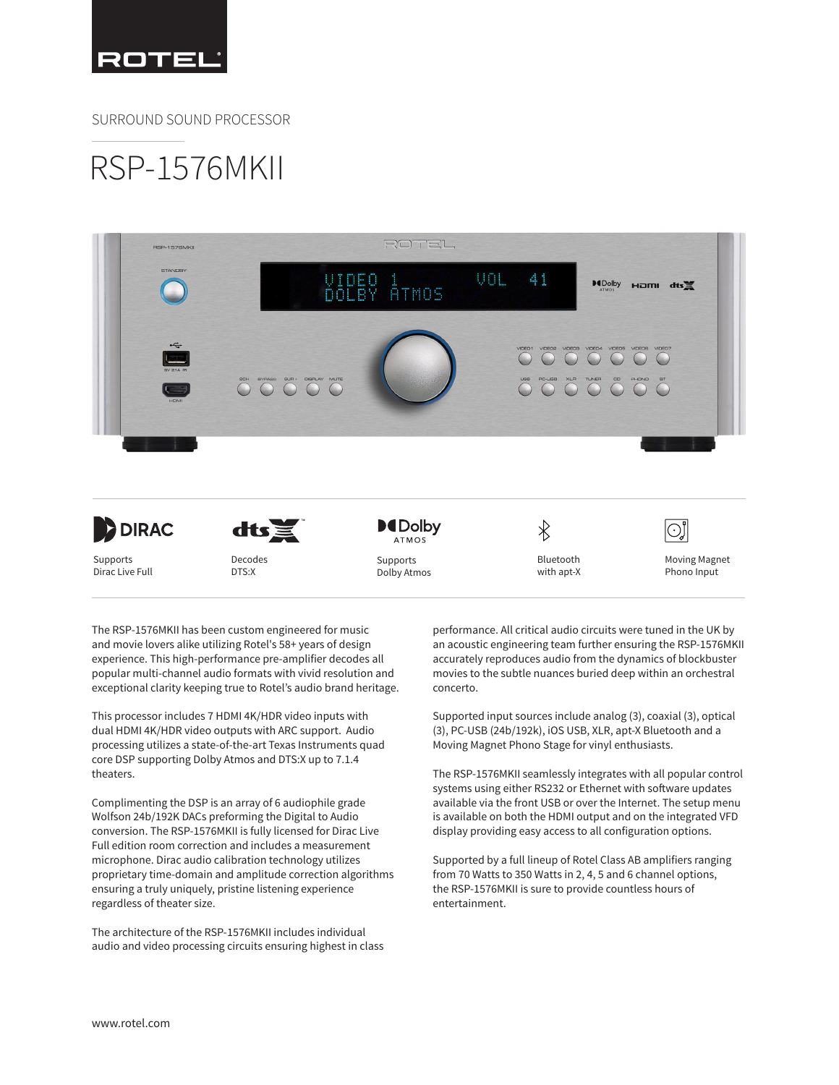

SURROUND SOUND PROCESSOR

## RSP-1576MKII



The RSP-1576MKII has been custom engineered for music and movie lovers alike utilizing Rotel's 58+ years of design experience. This high-performance pre-amplifier decodes all popular multi-channel audio formats with vivid resolution and exceptional clarity keeping true to Rotel's audio brand heritage.

This processor includes 7 HDMI 4K/HDR video inputs with dual HDMI 4K/HDR video outputs with ARC support. Audio processing utilizes a state-of-the-art Texas Instruments quad core DSP supporting Dolby Atmos and DTS:X up to 7.1.4 theaters.

Complimenting the DSP is an array of 6 audiophile grade Wolfson 24b/192K DACs preforming the Digital to Audio conversion. The RSP-1576MKII is fully licensed for Dirac Live Full edition room correction and includes a measurement microphone. Dirac audio calibration technology utilizes proprietary time-domain and amplitude correction algorithms ensuring a truly uniquely, pristine listening experience regardless of theater size.

The architecture of the RSP-1576MKII includes individual audio and video processing circuits ensuring highest in class performance. All critical audio circuits were tuned in the UK by an acoustic engineering team further ensuring the RSP-1576MKII accurately reproduces audio from the dynamics of blockbuster movies to the subtle nuances buried deep within an orchestral concerto.

Supported input sources include analog (3), coaxial (3), optical (3), PC-USB (24b/192k), iOS USB, XLR, apt-X Bluetooth and a Moving Magnet Phono Stage for vinyl enthusiasts.

The RSP-1576MKII seamlessly integrates with all popular control systems using either RS232 or Ethernet with software updates available via the front USB or over the Internet. The setup menu is available on both the HDMI output and on the integrated VFD display providing easy access to all configuration options.

Supported by a full lineup of Rotel Class AB amplifiers ranging from 70 Watts to 350 Watts in 2, 4, 5 and 6 channel options, the RSP-1576MKII is sure to provide countless hours of entertainment.